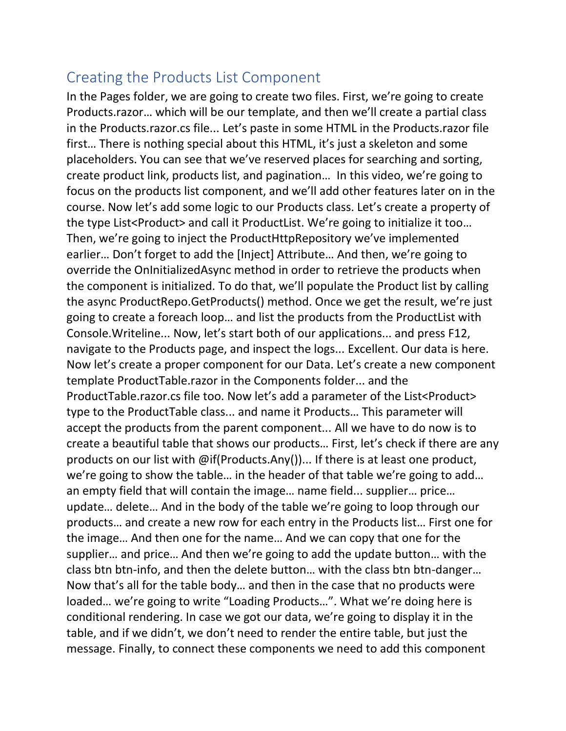## Creating the Products List Component

In the Pages folder, we are going to create two files. First, we're going to create Products.razor… which will be our template, and then we'll create a partial class in the Products.razor.cs file... Let's paste in some HTML in the Products.razor file first… There is nothing special about this HTML, it's just a skeleton and some placeholders. You can see that we've reserved places for searching and sorting, create product link, products list, and pagination… In this video, we're going to focus on the products list component, and we'll add other features later on in the course. Now let's add some logic to our Products class. Let's create a property of the type List<Product> and call it ProductList. We're going to initialize it too… Then, we're going to inject the ProductHttpRepository we've implemented earlier… Don't forget to add the [Inject] Attribute… And then, we're going to override the OnInitializedAsync method in order to retrieve the products when the component is initialized. To do that, we'll populate the Product list by calling the async ProductRepo.GetProducts() method. Once we get the result, we're just going to create a foreach loop… and list the products from the ProductList with Console.Writeline... Now, let's start both of our applications... and press F12, navigate to the Products page, and inspect the logs... Excellent. Our data is here. Now let's create a proper component for our Data. Let's create a new component template ProductTable.razor in the Components folder... and the ProductTable.razor.cs file too. Now let's add a parameter of the List<Product> type to the ProductTable class... and name it Products… This parameter will accept the products from the parent component... All we have to do now is to create a beautiful table that shows our products… First, let's check if there are any products on our list with @if(Products.Any())... If there is at least one product, we're going to show the table… in the header of that table we're going to add… an empty field that will contain the image… name field... supplier… price… update… delete… And in the body of the table we're going to loop through our products… and create a new row for each entry in the Products list… First one for the image… And then one for the name… And we can copy that one for the supplier… and price… And then we're going to add the update button… with the class btn btn-info, and then the delete button… with the class btn btn-danger… Now that's all for the table body… and then in the case that no products were loaded… we're going to write "Loading Products…". What we're doing here is conditional rendering. In case we got our data, we're going to display it in the table, and if we didn't, we don't need to render the entire table, but just the message. Finally, to connect these components we need to add this component